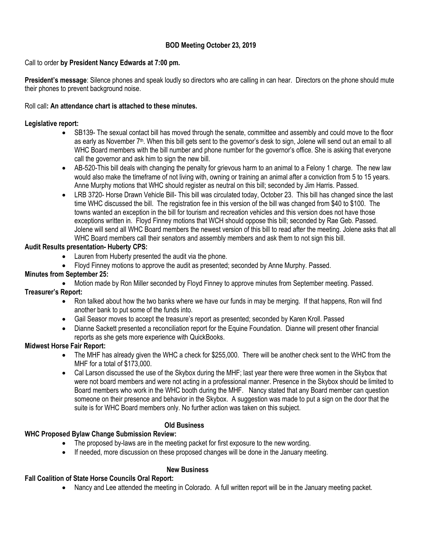## **BOD Meeting October 23, 2019**

### Call to order **by President Nancy Edwards at 7:00 pm.**

**President's message**: Silence phones and speak loudly so directors who are calling in can hear. Directors on the phone should mute their phones to prevent background noise.

### Roll call**: An attendance chart is attached to these minutes.**

#### **Legislative report:**

- SB139- The sexual contact bill has moved through the senate, committee and assembly and could move to the floor as early as November 7<sup>th</sup>. When this bill gets sent to the governor's desk to sign, Jolene will send out an email to all WHC Board members with the bill number and phone number for the governor's office. She is asking that everyone call the governor and ask him to sign the new bill.
- AB-520-This bill deals with changing the penalty for grievous harm to an animal to a Felony 1 charge. The new law would also make the timeframe of not living with, owning or training an animal after a conviction from 5 to 15 years. Anne Murphy motions that WHC should register as neutral on this bill; seconded by Jim Harris. Passed.
- LRB 3720- Horse Drawn Vehicle Bill- This bill was circulated today, October 23. This bill has changed since the last time WHC discussed the bill. The registration fee in this version of the bill was changed from \$40 to \$100. The towns wanted an exception in the bill for tourism and recreation vehicles and this version does not have those exceptions written in. Floyd Finney motions that WCH should oppose this bill; seconded by Rae Geb. Passed. Jolene will send all WHC Board members the newest version of this bill to read after the meeting. Jolene asks that all WHC Board members call their senators and assembly members and ask them to not sign this bill.

#### **Audit Results presentation- Huberty CPS:**

- Lauren from Huberty presented the audit via the phone.
- Floyd Finney motions to approve the audit as presented; seconded by Anne Murphy. Passed.

### **Minutes from September 25:**

Motion made by Ron Miller seconded by Floyd Finney to approve minutes from September meeting. Passed.

# **Treasurer's Report:**

- Ron talked about how the two banks where we have our funds in may be merging. If that happens, Ron will find another bank to put some of the funds into.
- Gail Seasor moves to accept the treasure's report as presented; seconded by Karen Kroll. Passed
- Dianne Sackett presented a reconciliation report for the Equine Foundation. Dianne will present other financial reports as she gets more experience with QuickBooks.

### **Midwest Horse Fair Report:**

- The MHF has already given the WHC a check for \$255,000. There will be another check sent to the WHC from the MHF for a total of \$173,000.
- Cal Larson discussed the use of the Skybox during the MHF; last year there were three women in the Skybox that were not board members and were not acting in a professional manner. Presence in the Skybox should be limited to Board members who work in the WHC booth during the MHF. Nancy stated that any Board member can question someone on their presence and behavior in the Skybox. A suggestion was made to put a sign on the door that the suite is for WHC Board members only. No further action was taken on this subject.

# **Old Business**

### **WHC Proposed Bylaw Change Submission Review:**

- The proposed by-laws are in the meeting packet for first exposure to the new wording.
- If needed, more discussion on these proposed changes will be done in the January meeting.

# **New Business**

### **Fall Coalition of State Horse Councils Oral Report:**

Nancy and Lee attended the meeting in Colorado. A full written report will be in the January meeting packet.